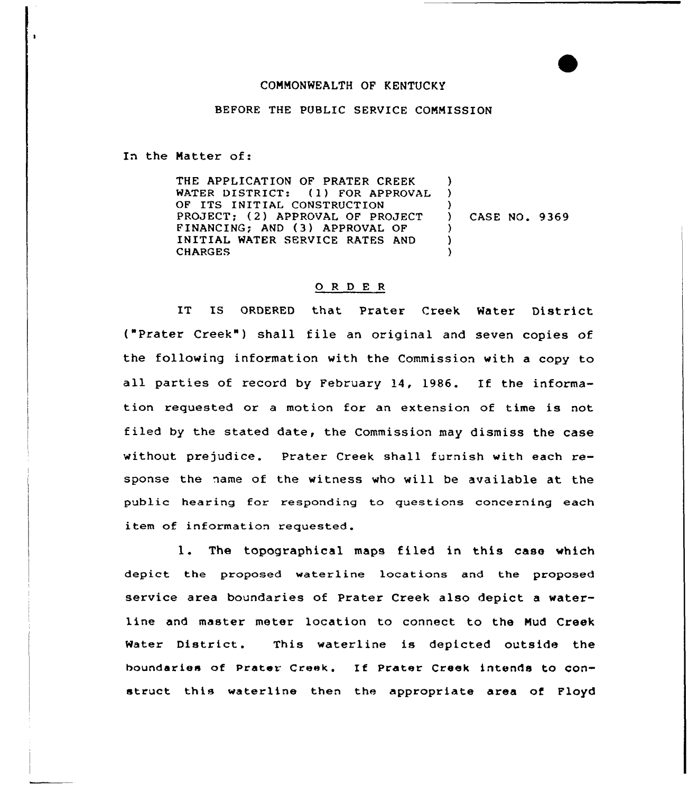## CONNONWEALTH OF KENTUCKY

## BEFORE THE PUBLIC SERVICE CONNISSION

In the Natter of:

THE APPLICATION OF PRATER CREEK<br>WATER DISTRICT: (1) FOR APPROV ) (1) FOR APPROVAL ) OF ITS INITIAL CONSTRUCTION PROJECT; (2) APPROVAL OF PROJECT  $\lambda$ ) CASE NO. 9369 FINANCING; AND (3) APPROVAL OF  $\left\{ \right\}$ INITIAL WATER SERVICE RATES AND **CHARGES**  $\lambda$ 

## 0 <sup>R</sup> <sup>D</sup> E <sup>R</sup>

IT IS ORDERED that Prater Creek Water District ("Prater Creek") shall file an original and seven copies of the following information with the Commission with a copy to all parties of record by February 14, 1986. If the information requested or a motion for an extension of time is not filed by the stated date, the Commission may dismiss the case without prejudice. Prater Creek shall furnish with each response the name of the witness who will be available at the public hearing for responding to questions concerning each item of information requested.

l. The topographical maps filed in this case which depict the proposed waterline locations and the proposed service area boundaries of Prater Creek also depict a waterline and master meter location to connect to the Nud Creek Water District. This waterline is depicted outside the boundaries of prater creek. If prater Creek intends to construct this waterline then the appropriate area of Floyd